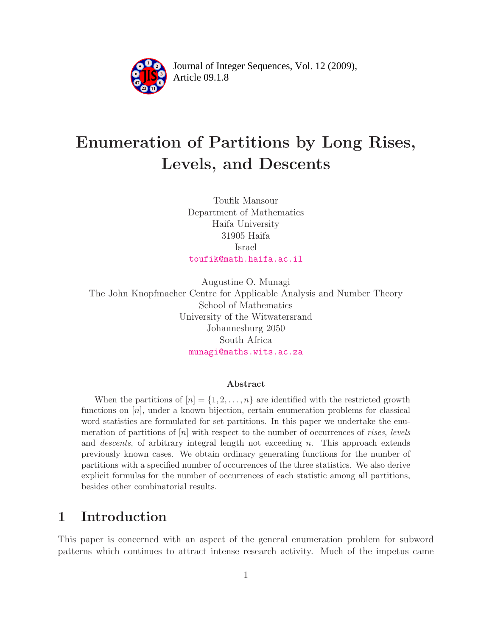

Article 09.1.8 **<sup>2</sup>** Journal of Integer Sequences, Vol. 12 (2009),

# Enumeration of Partitions by Long Rises, Levels, and Descents

Toufik Mansour Department of Mathematics Haifa University 31905 Haifa Israel [toufik@math.haifa.ac.il](mailto:toufik@math.haifa.ac.il)

Augustine O. Munagi The John Knopfmacher Centre for Applicable Analysis and Number Theory School of Mathematics University of the Witwatersrand Johannesburg 2050 South Africa [munagi@maths.wits.ac.za](mailto:munagi@maths.wits.ac.za)

#### Abstract

When the partitions of  $[n] = \{1, 2, \ldots, n\}$  are identified with the restricted growth functions on [n], under a known bijection, certain enumeration problems for classical word statistics are formulated for set partitions. In this paper we undertake the enumeration of partitions of  $[n]$  with respect to the number of occurrences of rises, levels and *descents*, of arbitrary integral length not exceeding n. This approach extends previously known cases. We obtain ordinary generating functions for the number of partitions with a specified number of occurrences of the three statistics. We also derive explicit formulas for the number of occurrences of each statistic among all partitions, besides other combinatorial results.

# 1 Introduction

This paper is concerned with an aspect of the general enumeration problem for subword patterns which continues to attract intense research activity. Much of the impetus came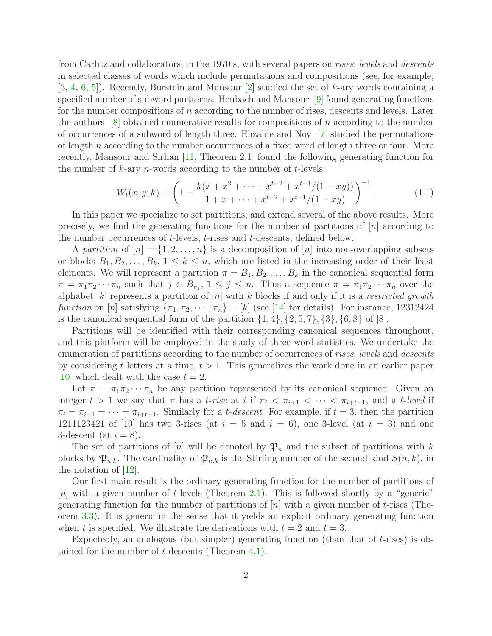from Carlitz and collaborators, in the 1970's, with several papers on rises, levels and descents in selected classes of words which include permutations and compositions (see, for example,  $[3, 4, 6, 5]$  $[3, 4, 6, 5]$  $[3, 4, 6, 5]$  $[3, 4, 6, 5]$  $[3, 4, 6, 5]$  $[3, 4, 6, 5]$  $[3, 4, 6, 5]$ . Recently, Burstein and Mansour  $[2]$  studied the set of k-ary words containing a specified number of subword partterns. Heubach and Mansour [\[9\]](#page-15-5) found generating functions for the number compositions of  $n$  according to the number of rises, descents and levels. Later the authors  $|8|$  obtained enumerative results for compositions of n according to the number of occurrences of a subword of length three. Elizalde and Noy [\[7\]](#page-15-7) studied the permutations of length n according to the number occurrences of a fixed word of length three or four. More recently, Mansour and Sirhan [\[11,](#page-16-0) Theorem 2.1] found the following generating function for the number of  $k$ -ary *n*-words according to the number of  $t$ -levels:

<span id="page-1-0"></span>
$$
W_t(x, y; k) = \left(1 - \frac{k(x + x^2 + \dots + x^{t-2} + x^{t-1}/(1 - xy))}{1 + x + \dots + x^{t-2} + x^{t-1}/(1 - xy)}\right)^{-1}.
$$
\n(1.1)

In this paper we specialize to set partitions, and extend several of the above results. More precisely, we find the generating functions for the number of partitions of  $[n]$  according to the number occurrences of t-levels, t-rises and t-descents, defined below.

A partition of  $[n] = \{1, 2, \ldots, n\}$  is a decomposition of  $[n]$  into non-overlapping subsets or blocks  $B_1, B_2, \ldots, B_k, 1 \leq k \leq n$ , which are listed in the increasing order of their least elements. We will represent a partition  $\pi = B_1, B_2, \ldots, B_k$  in the canonical sequential form  $\pi = \pi_1 \pi_2 \cdots \pi_n$  such that  $j \in B_{\pi_j}$ ,  $1 \leq j \leq n$ . Thus a sequence  $\pi = \pi_1 \pi_2 \cdots \pi_n$  over the alphabet  $[k]$  represents a partition of  $[n]$  with k blocks if and only if it is a restricted growth function on [n] satisfying  $\{\pi_1, \pi_2, \cdots, \pi_n\} = [k]$  (see [\[14\]](#page-16-1) for details). For instance, 12312424 is the canonical sequential form of the partition  $\{1, 4\}, \{2, 5, 7\}, \{3\}, \{6, 8\}$  of [8].

Partitions will be identified with their corresponding canonical sequences throughout, and this platform will be employed in the study of three word-statistics. We undertake the enumeration of partitions according to the number of occurrences of rises, levels and descents by considering t letters at a time,  $t > 1$ . This generalizes the work done in an earlier paper [\[10\]](#page-16-2) which dealt with the case  $t = 2$ .

Let  $\pi = \pi_1 \pi_2 \cdots \pi_n$  be any partition represented by its canonical sequence. Given an integer  $t > 1$  we say that  $\pi$  has a t-rise at i if  $\pi_i < \pi_{i+1} < \cdots < \pi_{i+t-1}$ , and a t-level if  $\pi_i = \pi_{i+1} = \cdots = \pi_{i+t-1}$ . Similarly for a *t-descent*. For example, if  $t = 3$ , then the partition 1211123421 of [10] has two 3-rises (at  $i = 5$  and  $i = 6$ ), one 3-level (at  $i = 3$ ) and one 3-descent (at  $i = 8$ ).

The set of partitions of [n] will be denoted by  $\mathfrak{P}_n$  and the subset of partitions with k blocks by  $\mathfrak{P}_{n,k}$ . The cardinality of  $\mathfrak{P}_{n,k}$  is the Stirling number of the second kind  $S(n,k)$ , in the notation of [\[12\]](#page-16-3).

Our first main result is the ordinary generating function for the number of partitions of  $[n]$  with a given number of t-levels (Theorem [2.1\)](#page-2-0). This is followed shortly by a "generic" generating function for the number of partitions of  $[n]$  with a given number of t-rises (Theorem [3.3\)](#page-7-0). It is generic in the sense that it yields an explicit ordinary generating function when t is specified. We illustrate the derivations with  $t = 2$  and  $t = 3$ .

Expectedly, an analogous (but simpler) generating function (than that of  $t$ -rises) is obtained for the number of t-descents (Theorem [4.1\)](#page-13-0).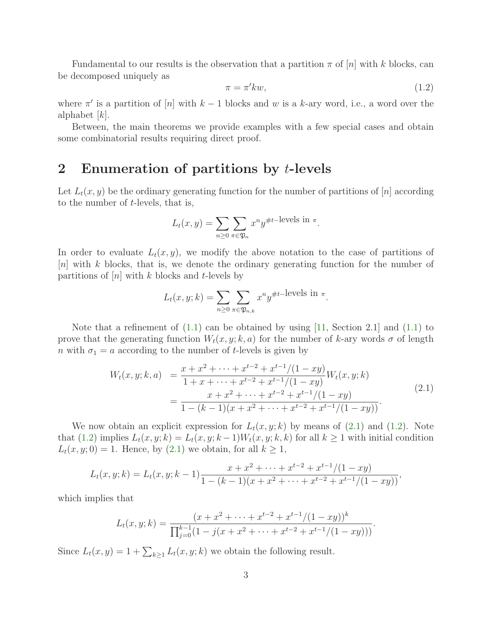<span id="page-2-2"></span>Fundamental to our results is the observation that a partition  $\pi$  of  $|n|$  with k blocks, can be decomposed uniquely as

$$
\pi = \pi' k w,\tag{1.2}
$$

where  $\pi'$  is a partition of [n] with  $k-1$  blocks and w is a k-ary word, i.e., a word over the alphabet  $[k]$ .

Between, the main theorems we provide examples with a few special cases and obtain some combinatorial results requiring direct proof.

# 2 Enumeration of partitions by t-levels

Let  $L_t(x, y)$  be the ordinary generating function for the number of partitions of [n] according to the number of  $t$ -levels, that is,

$$
L_t(x, y) = \sum_{n \ge 0} \sum_{\pi \in \mathfrak{P}_n} x^n y^{\# t-\text{levels in }\pi}.
$$

In order to evaluate  $L_t(x, y)$ , we modify the above notation to the case of partitions of [n] with k blocks, that is, we denote the ordinary generating function for the number of partitions of  $[n]$  with k blocks and t-levels by

<span id="page-2-1"></span>
$$
L_t(x, y; k) = \sum_{n \ge 0} \sum_{\pi \in \mathfrak{P}_{n,k}} x^n y^{\# t-\text{levels in }\pi}.
$$

Note that a refinement of  $(1.1)$  can be obtained by using  $[11]$ , Section 2.1 and  $(1.1)$  to prove that the generating function  $W_t(x, y; k, a)$  for the number of k-ary words  $\sigma$  of length n with  $\sigma_1 = a$  according to the number of t-levels is given by

$$
W_t(x, y; k, a) = \frac{x + x^2 + \dots + x^{t-2} + x^{t-1}/(1 - xy)}{1 + x + \dots + x^{t-2} + x^{t-1}/(1 - xy)} W_t(x, y; k)
$$
  
= 
$$
\frac{x + x^2 + \dots + x^{t-2} + x^{t-1}/(1 - xy)}{1 - (k-1)(x + x^2 + \dots + x^{t-2} + x^{t-1}/(1 - xy))}.
$$
 (2.1)

We now obtain an explicit expression for  $L_t(x, y; k)$  by means of  $(2.1)$  and  $(1.2)$ . Note that [\(1.2\)](#page-2-2) implies  $L_t(x, y; k) = L_t(x, y; k-1)W_t(x, y; k, k)$  for all  $k \ge 1$  with initial condition  $L_t(x, y; 0) = 1$ . Hence, by  $(2.1)$  we obtain, for all  $k \geq 1$ ,

$$
L_t(x, y; k) = L_t(x, y; k-1) \frac{x + x^2 + \dots + x^{t-2} + x^{t-1}/(1 - xy)}{1 - (k-1)(x + x^2 + \dots + x^{t-2} + x^{t-1}/(1 - xy))},
$$

which implies that

$$
L_t(x, y; k) = \frac{(x + x^2 + \dots + x^{t-2} + x^{t-1}/(1 - xy))^k}{\prod_{j=0}^{k-1} (1 - j(x + x^2 + \dots + x^{t-2} + x^{t-1}/(1 - xy)))}.
$$

<span id="page-2-0"></span>Since  $L_t(x, y) = 1 + \sum_{k \geq 1} L_t(x, y; k)$  we obtain the following result.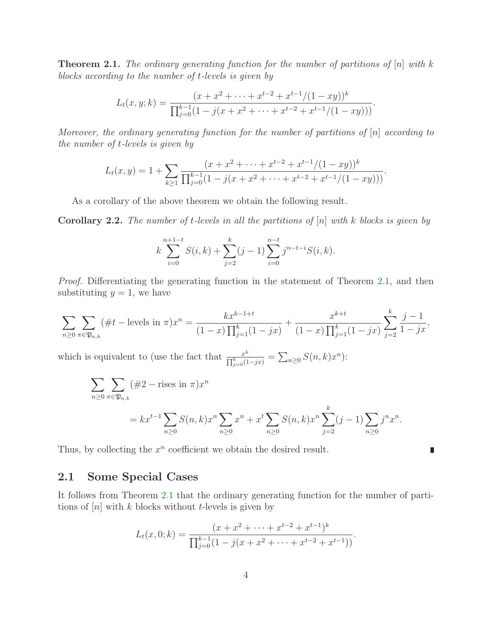**Theorem 2.1.** The ordinary generating function for the number of partitions of  $[n]$  with k blocks according to the number of t-levels is given by

$$
L_t(x, y; k) = \frac{(x + x^2 + \dots + x^{t-2} + x^{t-1}/(1 - xy))^k}{\prod_{j=0}^{k-1} (1 - j(x + x^2 + \dots + x^{t-2} + x^{t-1}/(1 - xy)))}.
$$

Moreover, the ordinary generating function for the number of partitions of [n] according to the number of t-levels is given by

$$
L_t(x,y) = 1 + \sum_{k \ge 1} \frac{(x + x^2 + \dots + x^{t-2} + x^{t-1}/(1 - xy))^k}{\prod_{j=0}^{k-1} (1 - j(x + x^2 + \dots + x^{t-2} + x^{t-1}/(1 - xy)))}.
$$

As a corollary of the above theorem we obtain the following result.

<span id="page-3-0"></span>**Corollary 2.2.** The number of t-levels in all the partitions of  $[n]$  with k blocks is given by

$$
k\sum_{i=0}^{n+1-t} S(i,k) + \sum_{j=2}^{k} (j-1) \sum_{i=0}^{n-t} j^{n-t-i} S(i,k).
$$

Proof. Differentiating the generating function in the statement of Theorem [2.1,](#page-2-0) and then substituting  $y = 1$ , we have

$$
\sum_{n\geq 0} \sum_{\pi \in \mathfrak{P}_{n,k}} (\#t - \text{levels in } \pi) x^n = \frac{k x^{k-1+t}}{(1-x) \prod_{j=1}^k (1-jx)} + \frac{x^{k+t}}{(1-x) \prod_{j=1}^k (1-jx)} \sum_{j=2}^k \frac{j-1}{1-jx},
$$

which is equivalent to (use the fact that  $\frac{x^k}{\Box^k}$  $\frac{x^k}{\prod_{j=0}^k (1-jx)} = \sum_{n\geq 0} S(n,k)x^n$ :

$$
\sum_{n\geq 0} \sum_{\pi \in \mathfrak{P}_{n,k}} (\#2 - \text{rises in } \pi) x^n
$$
  
=  $kx^{t-1} \sum_{n\geq 0} S(n,k) x^n \sum_{n\geq 0} x^n + x^t \sum_{n\geq 0} S(n,k) x^n \sum_{j=2}^k (j-1) \sum_{n\geq 0} j^n x^n$ .

 $\blacksquare$ 

Thus, by collecting the  $x^n$  coefficient we obtain the desired result.

### 2.1 Some Special Cases

It follows from Theorem [2.1](#page-2-0) that the ordinary generating function for the number of partitions of  $[n]$  with k blocks without t-levels is given by

$$
L_t(x, 0; k) = \frac{(x + x^2 + \dots + x^{t-2} + x^{t-1})^k}{\prod_{j=0}^{k-1} (1 - j(x + x^2 + \dots + x^{t-2} + x^{t-1}))}.
$$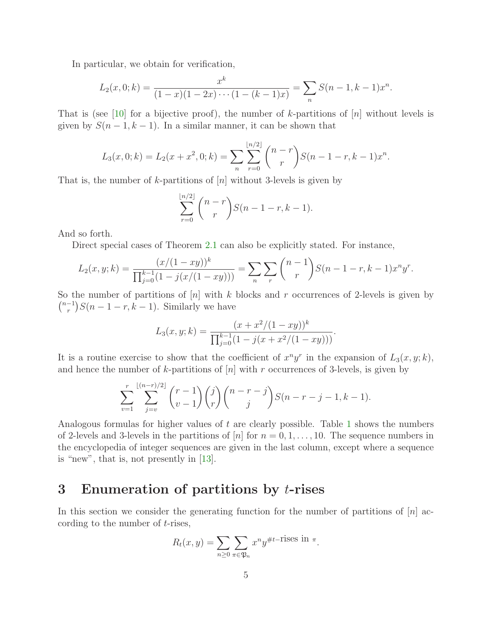In particular, we obtain for verification,

$$
L_2(x,0;k) = \frac{x^k}{(1-x)(1-2x)\cdots(1-(k-1)x)} = \sum_n S(n-1,k-1)x^n.
$$

That is (see [\[10\]](#page-16-2) for a bijective proof), the number of k-partitions of  $[n]$  without levels is given by  $S(n-1, k-1)$ . In a similar manner, it can be shown that

$$
L_3(x,0;k) = L_2(x+x^2,0;k) = \sum_{n} \sum_{r=0}^{\lfloor n/2 \rfloor} {n-r \choose r} S(n-1-r,k-1)x^n.
$$

That is, the number of k-partitions of  $[n]$  without 3-levels is given by

$$
\sum_{r=0}^{\lfloor n/2 \rfloor} \binom{n-r}{r} S(n-1-r, k-1).
$$

And so forth.

Direct special cases of Theorem [2.1](#page-2-0) can also be explicitly stated. For instance,

$$
L_2(x, y; k) = \frac{(x/(1-xy))^k}{\prod_{j=0}^{k-1} (1-j(x/(1-xy)))} = \sum_n \sum_r \binom{n-1}{r} S(n-1-r, k-1) x^n y^r.
$$

So the number of partitions of  $[n]$  with k blocks and r occurrences of 2-levels is given by  $\binom{n-1}{r}$  $\binom{-1}{r}S(n-1-r,k-1)$ . Similarly we have

$$
L_3(x, y; k) = \frac{(x + x^2/(1 - xy))^k}{\prod_{j=0}^{k-1} (1 - j(x + x^2/(1 - xy)))}.
$$

It is a routine exercise to show that the coefficient of  $x^n y^r$  in the expansion of  $L_3(x, y; k)$ , and hence the number of k-partitions of  $[n]$  with r occurrences of 3-levels, is given by

$$
\sum_{v=1}^r \sum_{j=v}^{\lfloor (n-r)/2 \rfloor} \binom{r-1}{v-1} \binom{j}{r} \binom{n-r-j}{j} S(n-r-j-1, k-1).
$$

Analogous formulas for higher values of t are clearly possible. Table [1](#page-5-0) shows the numbers of 2-levels and 3-levels in the partitions of |n| for  $n = 0, 1, \ldots, 10$ . The sequence numbers in the encyclopedia of integer sequences are given in the last column, except where a sequence is "new", that is, not presently in [\[13\]](#page-16-4).

## 3 Enumeration of partitions by t-rises

In this section we consider the generating function for the number of partitions of  $[n]$  according to the number of t-rises,

$$
R_t(x, y) = \sum_{n \geq 0} \sum_{\pi \in \mathfrak{P}_n} x^n y^{\# t - \text{rises in } \pi}.
$$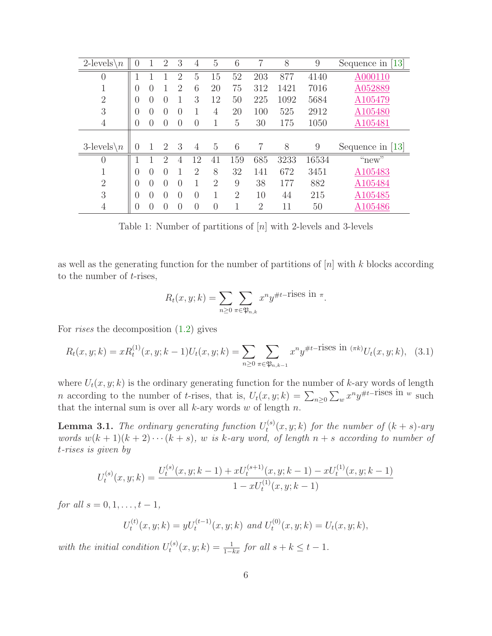| $2$ -levels<br>$\sqrt{n}$ | $\theta$         |                  | $\overline{2}$   | 3                | 4                | 5              | 6              | 7              | 8    | 9     | Sequence in [13]   |
|---------------------------|------------------|------------------|------------------|------------------|------------------|----------------|----------------|----------------|------|-------|--------------------|
| $\overline{0}$            | 1                |                  |                  | $\overline{2}$   | 5                | 15             | 52             | 203            | 877  | 4140  | A000110            |
| T                         | $\theta$         | 0                |                  | $\overline{2}$   | 6                | 20             | 75             | 312            | 1421 | 7016  | A052889            |
| $\overline{2}$            | $\theta$         | $\Omega$         | $\left( \right)$ |                  | 3                | 12             | 50             | 225            | 1092 | 5684  | A105479            |
| 3                         | $\theta$         | $\Omega$         | $\left( \right)$ | $\left( \right)$ | 1                | 4              | 20             | 100            | 525  | 2912  | A105480            |
| $\overline{4}$            | $\theta$         | $\left( \right)$ |                  | $\left( \right)$ | $\left( \right)$ |                | 5              | 30             | 175  | 1050  | A105481            |
|                           |                  |                  |                  |                  |                  |                |                |                |      |       |                    |
| $3$ -levels<br>$\sqrt{n}$ | $\theta$         |                  | $\overline{2}$   | 3                | 4                | $\overline{5}$ | 6              | 7              | 8    | 9     | Sequence in $[13]$ |
| $\overline{0}$            |                  |                  | 2                | 4                | 12               | 41             | 159            | 685            | 3233 | 16534 | "new"              |
|                           | $\theta$         | 0                | $\left( \right)$ |                  | $\overline{2}$   | 8              | 32             | 141            | 672  | 3451  | A105483            |
| $\overline{2}$            | $\left( \right)$ | $\Omega$         | $\Omega$         | $\left( \right)$ | 1                | $\overline{2}$ | 9              | 38             | 177  | 882   | A105484            |
| 3                         | $\theta$         | 0                | $\left( \right)$ | 0                | $\left( \right)$ |                | $\overline{2}$ | 10             | 44   | 215   | A105485            |
| $\overline{4}$            | $\theta$         | 0                | $\left( \right)$ | $\left( \right)$ | $\left($         | $\left($       |                | $\overline{2}$ | 11   | 50    | A105486            |

<span id="page-5-0"></span>Table 1: Number of partitions of [n] with 2-levels and 3-levels

as well as the generating function for the number of partitions of  $[n]$  with k blocks according to the number of  $t$ -rises,

<span id="page-5-2"></span>
$$
R_t(x, y; k) = \sum_{n \ge 0} \sum_{\pi \in \mathfrak{P}_{n,k}} x^n y^{\# t - \text{rises in } \pi}.
$$

For rises the decomposition [\(1.2\)](#page-2-2) gives

$$
R_t(x, y; k) = x R_t^{(1)}(x, y; k-1) U_t(x, y; k) = \sum_{n \ge 0} \sum_{\pi \in \mathfrak{P}_{n, k-1}} x^n y^{\# t-\text{rises in } (\pi k)} U_t(x, y; k), \quad (3.1)
$$

where  $U_t(x, y; k)$  is the ordinary generating function for the number of k-ary words of length *n* according to the number of *t*-rises, that is,  $U_t(x, y; k) = \sum_{n\geq 0} \sum_w x^n y^{\#t-\text{rises in } w}$  such that the internal sum is over all  $k$ -ary words  $w$  of length  $n$ .

<span id="page-5-1"></span>**Lemma 3.1.** The ordinary generating function  $U_t^{(s)}$  $t^{(s)}(x, y; k)$  for the number of  $(k + s)$ -ary words  $w(k + 1)(k + 2) \cdots (k + s)$ , w is k-ary word, of length  $n + s$  according to number of t-rises is given by

$$
U_t^{(s)}(x,y;k) = \frac{U_t^{(s)}(x,y;k-1) + xU_t^{(s+1)}(x,y;k-1) - xU_t^{(1)}(x,y;k-1)}{1 - xU_t^{(1)}(x,y;k-1)}
$$

for all  $s = 0, 1, \ldots, t - 1$ ,

$$
U_t^{(t)}(x, y; k) = yU_t^{(t-1)}(x, y; k) \text{ and } U_t^{(0)}(x, y; k) = U_t(x, y; k),
$$

with the initial condition  $U_t^{(s)}$  $t^{(s)}(x, y; k) = \frac{1}{1 - kx}$  for all  $s + k \leq t - 1$ .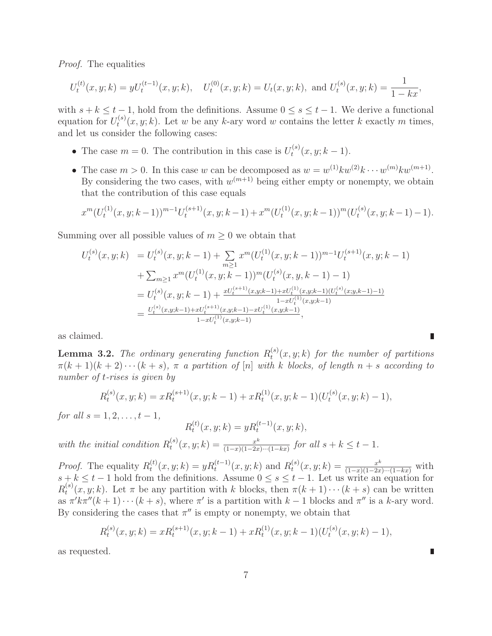Proof. The equalities

$$
U_t^{(t)}(x,y;k) = yU_t^{(t-1)}(x,y;k), \quad U_t^{(0)}(x,y;k) = U_t(x,y;k), \text{ and } U_t^{(s)}(x,y;k) = \frac{1}{1 - kx},
$$

with  $s + k \leq t - 1$ , hold from the definitions. Assume  $0 \leq s \leq t - 1$ . We derive a functional equation for  $U_t^{(s)}$  $t^{(s)}(x, y; k)$ . Let w be any k-ary word w contains the letter k exactly m times, and let us consider the following cases:

- The case  $m = 0$ . The contribution in this case is  $U_t^{(s)}$  $t^{(s)}(x, y; k-1).$
- The case  $m > 0$ . In this case w can be decomposed as  $w = w^{(1)} k w^{(2)} k \cdots w^{(m)} k w^{(m+1)}$ . By considering the two cases, with  $w^{(m+1)}$  being either empty or nonempty, we obtain that the contribution of this case equals

$$
x^{m}(U_t^{(1)}(x,y;k-1))^{m-1}U_t^{(s+1)}(x,y;k-1)+x^{m}(U_t^{(1)}(x,y;k-1))^{m}(U_t^{(s)}(x,y;k-1)-1).
$$

Summing over all possible values of  $m \geq 0$  we obtain that

$$
U_t^{(s)}(x, y; k) = U_t^{(s)}(x, y; k - 1) + \sum_{m \ge 1} x^m (U_t^{(1)}(x, y; k - 1))^{m-1} U_t^{(s+1)}(x, y; k - 1)
$$
  
+ 
$$
\sum_{m \ge 1} x^m (U_t^{(1)}(x, y; k - 1))^m (U_t^{(s)}(x, y, k - 1) - 1)
$$
  
= 
$$
U_t^{(s)}(x, y; k - 1) + \frac{xU_t^{(s+1)}(x, y; k - 1) + xU_t^{(1)}(x, y; k - 1)(U_t^{(s)}(x; y, k - 1) - 1)}{1 - xU_t^{(1)}(x, y; k - 1)}}
$$
  
= 
$$
\frac{U_t^{(s)}(x, y; k - 1) + xU_t^{(s+1)}(x, y; k - 1) - xU_t^{(1)}(x, y; k - 1)}{1 - xU_t^{(1)}(x, y; k - 1)}.
$$

<span id="page-6-0"></span>as claimed.

**Lemma 3.2.** The ordinary generating function  $R_t^{(s)}$  $t^{(s)}(x, y; k)$  for the number of partitions  $\pi(k+1)(k+2)\cdots(k+s)$ ,  $\pi$  a partition of [n] with k blocks, of length  $n+s$  according to number of t-rises is given by

$$
R_t^{(s)}(x, y; k) = x R_t^{(s+1)}(x, y; k-1) + x R_t^{(1)}(x, y; k-1) (U_t^{(s)}(x, y; k) - 1),
$$

*for all*  $s = 1, 2, ..., t - 1$ ,

 $R_t^{(t)}$  $t^{(t)}(x, y; k) = y R_t^{(t-1)}(x, y; k),$ 

with the initial condition  $R_t^{(s)}$  $t^{(s)}(x, y; k) = \frac{x^k}{(1-x)(1-2x)}$  $\frac{x^k}{(1-x)(1-2x)\cdots(1-kx)}$  for all  $s+k \leq t-1$ .

*Proof.* The equality  $R_t^{(t)}$  $t_t^{(t)}(x, y; k) = yR_t^{(t-1)}(x, y; k)$  and  $R_t^{(s)}$  $t^{(s)}(x,y;k) = \frac{x^k}{(1-x)(1-2x)\cdots(1-kx)}$  with  $s + k \leq t - 1$  hold from the definitions. Assume  $0 \leq s \leq t - 1$ . Let us write an equation for  $R_t^{(s)}$  $t^{(s)}(x, y; k)$ . Let  $\pi$  be any partition with k blocks, then  $\pi(k + 1) \cdots (k + s)$  can be written as  $\pi' k \pi''(k+1) \cdots (k+s)$ , where  $\pi'$  is a partition with  $k-1$  blocks and  $\pi''$  is a k-ary word. By considering the cases that  $\pi''$  is empty or nonempty, we obtain that

$$
R_t^{(s)}(x, y; k) = x R_t^{(s+1)}(x, y; k-1) + x R_t^{(1)}(x, y; k-1) (U_t^{(s)}(x, y; k) - 1),
$$

as requested.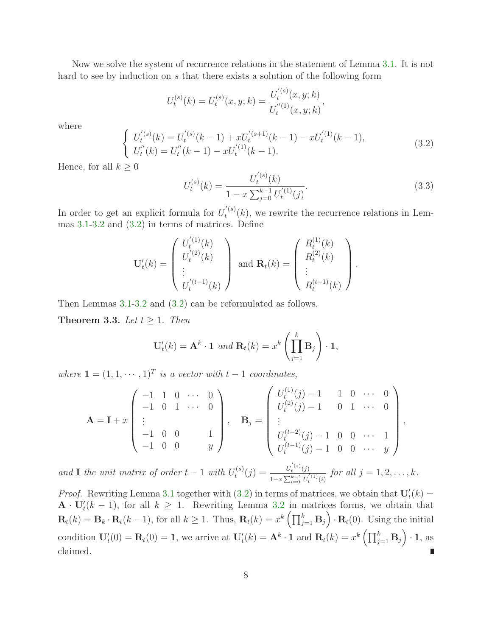Now we solve the system of recurrence relations in the statement of Lemma [3.1.](#page-5-1) It is not hard to see by induction on s that there exists a solution of the following form

$$
U_t^{(s)}(k) = U_t^{(s)}(x, y; k) = \frac{U_t^{'(s)}(x, y; k)}{U_t^{''(1)}(x, y; k)},
$$

<span id="page-7-1"></span>where

$$
\begin{cases}\nU_t^{(s)}(k) = U_t^{(s)}(k-1) + xU_t^{(s+1)}(k-1) - xU_t^{(1)}(k-1), \\
U_t''(k) = U_t''(k-1) - xU_t^{(1)}(k-1).\n\end{cases} \tag{3.2}
$$

<span id="page-7-2"></span>Hence, for all  $k \geq 0$ 

$$
U_t^{(s)}(k) = \frac{U_t^{(s)}(k)}{1 - x \sum_{j=0}^{k-1} U_t^{(1)}(j)}.
$$
\n(3.3)

In order to get an explicit formula for  $U_t^{(s)}$  $t^{(s)}(k)$ , we rewrite the recurrence relations in Lemmas [3.1](#page-5-1)[-3.2](#page-6-0) and [\(3.2\)](#page-7-1) in terms of matrices. Define

$$
\mathbf{U}'_t(k) = \begin{pmatrix} U'^{(1)}_t(k) \\ U'^{(2)}_t(k) \\ \vdots \\ U'^{(t-1)}_t(k) \end{pmatrix} \text{ and } \mathbf{R}_t(k) = \begin{pmatrix} R_t^{(1)}(k) \\ R_t^{(2)}(k) \\ \vdots \\ R_t^{(t-1)}(k) \end{pmatrix}.
$$

<span id="page-7-0"></span>Then Lemmas [3.1-](#page-5-1)[3.2](#page-6-0) and [\(3.2\)](#page-7-1) can be reformulated as follows.

**Theorem 3.3.** Let  $t \geq 1$ . Then

$$
\mathbf{U}'_t(k) = \mathbf{A}^k \cdot \mathbf{1} \text{ and } \mathbf{R}_t(k) = x^k \left( \prod_{j=1}^k \mathbf{B}_j \right) \cdot \mathbf{1},
$$

where  $\mathbf{1} = (1, 1, \dots, 1)^T$  is a vector with  $t - 1$  coordinates,

$$
\mathbf{A} = \mathbf{I} + x \begin{pmatrix} -1 & 1 & 0 & \cdots & 0 \\ -1 & 0 & 1 & \cdots & 0 \\ \vdots & & & & \\ -1 & 0 & 0 & & 1 \\ -1 & 0 & 0 & & y \end{pmatrix}, \quad \mathbf{B}_j = \begin{pmatrix} U_t^{(1)}(j) - 1 & 1 & 0 & \cdots & 0 \\ U_t^{(2)}(j) - 1 & 0 & 1 & \cdots & 0 \\ \vdots & & & & \\ U_t^{(t-2)}(j) - 1 & 0 & 0 & \cdots & 1 \\ U_t^{(t-1)}(j) - 1 & 0 & 0 & \cdots & y \end{pmatrix},
$$

and **I** the unit matrix of order  $t-1$  with  $U_t^{(s)}$  $t^{(s)}(j) = \frac{U_t^{(s)}(j)}{1 - \pi \sum_{k=1}^{k-1} U_t^{(k)}}$  $\frac{U_t^{(1)}(j)}{1-x\sum_{i=0}^{k-1}U_t^{'(1)}(i)}$  for all  $j=1,2,\ldots,k$ .

*Proof.* Rewriting Lemma [3.1](#page-5-1) together with [\(3.2\)](#page-7-1) in terms of matrices, we obtain that  $U'_t(k) =$  $\mathbf{A} \cdot \mathbf{U}'_t(k-1)$ , for all  $k \geq 1$ . Rewriting Lemma [3.2](#page-6-0) in matrices forms, we obtain that  $\mathbf{R}_t(k) = \mathbf{B}_k \cdot \mathbf{R}_t(k-1)$ , for all  $k \ge 1$ . Thus,  $\mathbf{R}_t(k) = x^k \left( \prod_{j=1}^k \mathbf{B}_j \right) \cdot \mathbf{R}_t(0)$ . Using the initial condition  $\mathbf{U}'_t(0) = \mathbf{R}_t(0) = 1$ , we arrive at  $\mathbf{U}'_t(k) = \mathbf{A}^k \cdot \mathbf{1}$  and  $\mathbf{R}_t(k) = x^k \left( \prod_{j=1}^k \mathbf{B}_j \right) \cdot \mathbf{1}$ , as claimed.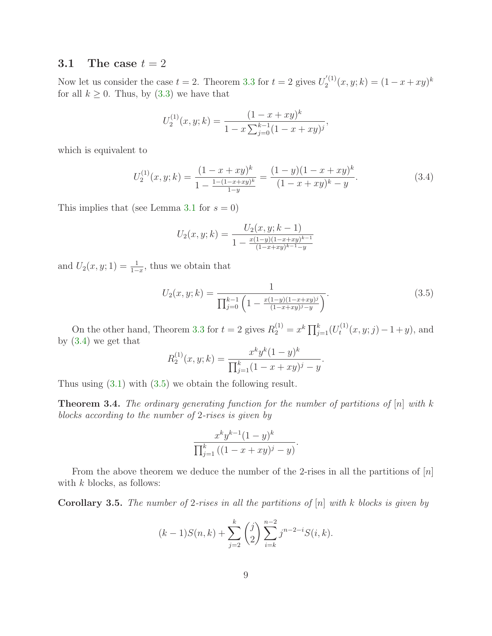## 3.1 The case  $t = 2$

Now let us consider the case  $t = 2$ . Theorem [3.3](#page-7-0) for  $t = 2$  gives  $U_2^{(1)}$  $2^{(1)}(x,y;k) = (1-x+xy)^k$ for all  $k \geq 0$ . Thus, by  $(3.3)$  we have that

$$
U_2^{(1)}(x,y;k) = \frac{(1-x+xy)^k}{1-x\sum_{j=0}^{k-1}(1-x+xy)^j},
$$

<span id="page-8-0"></span>which is equivalent to

$$
U_2^{(1)}(x,y;k) = \frac{(1-x+xy)^k}{1-\frac{1-(1-x+xy)^k}{1-y}} = \frac{(1-y)(1-x+xy)^k}{(1-x+xy)^k-y}.
$$
\n(3.4)

This implies that (see Lemma [3.1](#page-5-1) for  $s = 0$ )

<span id="page-8-1"></span>
$$
U_2(x, y; k) = \frac{U_2(x, y; k-1)}{1 - \frac{x(1-y)(1-x+xy)^{k-1}}{(1-x+xy)^{k-1}-y}}
$$

and  $U_2(x, y; 1) = \frac{1}{1-x}$ , thus we obtain that

$$
U_2(x, y; k) = \frac{1}{\prod_{j=0}^{k-1} \left(1 - \frac{x(1-y)(1-x+xy)^j}{(1-x+xy)^j - y}\right)}.
$$
\n(3.5)

On the other hand, Theorem [3.3](#page-7-0) for  $t = 2$  gives  $R_2^{(1)} = x^k \prod_{j=1}^k (U_t^{(1)})$  $t^{(1)}(x, y; j) - 1 + y$ , and by [\(3.4\)](#page-8-0) we get that

$$
R_2^{(1)}(x,y;k) = \frac{x^k y^k (1-y)^k}{\prod_{j=1}^k (1-x+xy)^j - y}.
$$

<span id="page-8-2"></span>Thus using [\(3.1\)](#page-5-2) with [\(3.5\)](#page-8-1) we obtain the following result.

**Theorem 3.4.** The ordinary generating function for the number of partitions of  $[n]$  with k blocks according to the number of 2-rises is given by

$$
\frac{x^k y^{k-1} (1-y)^k}{\prod_{j=1}^k ((1-x+xy)^j-y)}.
$$

<span id="page-8-3"></span>From the above theorem we deduce the number of the 2-rises in all the partitions of  $[n]$ with  $k$  blocks, as follows:

**Corollary 3.5.** The number of 2-rises in all the partitions of  $[n]$  with k blocks is given by

$$
(k-1)S(n,k) + \sum_{j=2}^{k} {j \choose 2} \sum_{i=k}^{n-2} j^{n-2-i} S(i,k).
$$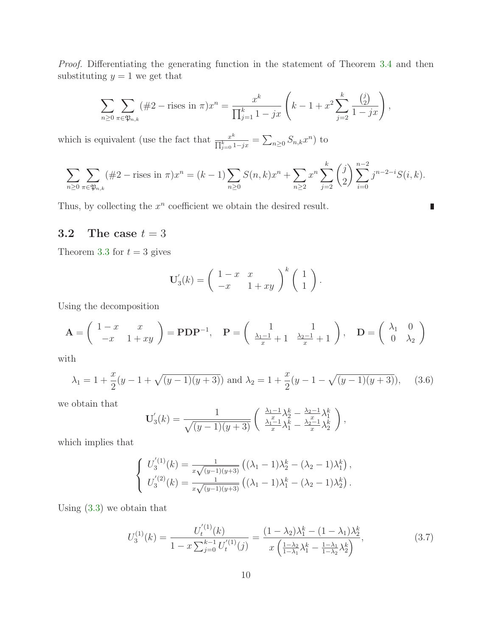Proof. Differentiating the generating function in the statement of Theorem [3.4](#page-8-2) and then substituting  $y = 1$  we get that

$$
\sum_{n\geq 0} \sum_{\pi \in \mathfrak{P}_{n,k}} (\#2 - \text{rises in } \pi) x^n = \frac{x^k}{\prod_{j=1}^k 1 - jx} \left( k - 1 + x^2 \sum_{j=2}^k \frac{\binom{j}{2}}{1 - jx} \right),
$$

which is equivalent (use the fact that  $\frac{x^k}{\Box k}$  $\frac{x^k}{\prod_{j=0}^k 1-jx} = \sum_{n\geq 0} S_{n,k} x^n$ ) to

$$
\sum_{n\geq 0} \sum_{\pi \in \mathfrak{P}_{n,k}} (\#2 - \text{rises in } \pi) x^n = (k-1) \sum_{n\geq 0} S(n,k) x^n + \sum_{n\geq 2} x^n \sum_{j=2}^k {j \choose 2} \sum_{i=0}^{n-2} j^{n-2-i} S(i,k).
$$

п

Thus, by collecting the  $x^n$  coefficient we obtain the desired result.

## 3.2 The case  $t = 3$

Theorem [3.3](#page-7-0) for  $t = 3$  gives

$$
\mathbf{U}'_3(k) = \begin{pmatrix} 1-x & x \\ -x & 1+xy \end{pmatrix}^k \begin{pmatrix} 1 \\ 1 \end{pmatrix}.
$$

Using the decomposition

$$
\mathbf{A} = \begin{pmatrix} 1-x & x \\ -x & 1+xy \end{pmatrix} = \mathbf{PDP}^{-1}, \quad \mathbf{P} = \begin{pmatrix} 1 & 1 \\ \frac{\lambda_1 - 1}{x} + 1 & \frac{\lambda_2 - 1}{x} + 1 \end{pmatrix}, \quad \mathbf{D} = \begin{pmatrix} \lambda_1 & 0 \\ 0 & \lambda_2 \end{pmatrix}
$$

<span id="page-9-0"></span>with

$$
\lambda_1 = 1 + \frac{x}{2}(y - 1 + \sqrt{(y - 1)(y + 3)})
$$
 and  $\lambda_2 = 1 + \frac{x}{2}(y - 1 - \sqrt{(y - 1)(y + 3)}),$  (3.6)

we obtain that

$$
\mathbf{U}'_3(k) = \frac{1}{\sqrt{(y-1)(y+3)}} \left( \begin{array}{c} \frac{\lambda_1 - 1}{x} \lambda_2^k - \frac{\lambda_2 - 1}{x} \lambda_1^k \\ \frac{\lambda_1 - 1}{x} \lambda_1^k - \frac{\lambda_2 - 1}{x} \lambda_2^k \end{array} \right),
$$

which implies that

$$
\begin{cases}\nU_3^{'(1)}(k) = \frac{1}{x\sqrt{(y-1)(y+3)}} \left( (\lambda_1 - 1)\lambda_2^k - (\lambda_2 - 1)\lambda_1^k \right), \\
U_3^{'(2)}(k) = \frac{1}{x\sqrt{(y-1)(y+3)}} \left( (\lambda_1 - 1)\lambda_1^k - (\lambda_2 - 1)\lambda_2^k \right).\n\end{cases}
$$

Using [\(3.3\)](#page-7-2) we obtain that

<span id="page-9-1"></span>
$$
U_3^{(1)}(k) = \frac{U_t^{(1)}(k)}{1 - x \sum_{j=0}^{k-1} U_t^{(1)}(j)} = \frac{(1 - \lambda_2)\lambda_1^k - (1 - \lambda_1)\lambda_2^k}{x \left(\frac{1 - \lambda_2}{1 - \lambda_1}\lambda_1^k - \frac{1 - \lambda_1}{1 - \lambda_2}\lambda_2^k\right)},
$$
(3.7)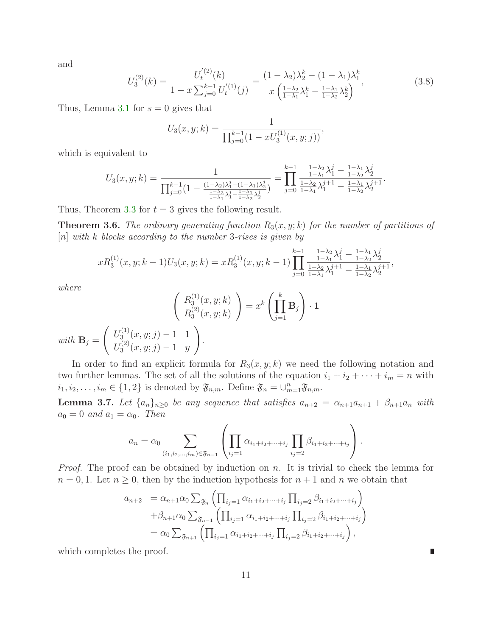<span id="page-10-2"></span>and

$$
U_3^{(2)}(k) = \frac{U_t^{(2)}(k)}{1 - x \sum_{j=0}^{k-1} U_t^{(1)}(j)} = \frac{(1 - \lambda_2)\lambda_2^k - (1 - \lambda_1)\lambda_1^k}{x \left(\frac{1 - \lambda_2}{1 - \lambda_1}\lambda_1^k - \frac{1 - \lambda_1}{1 - \lambda_2}\lambda_2^k\right)},
$$
(3.8)

Thus, Lemma [3.1](#page-5-1) for  $s = 0$  gives that

$$
U_3(x, y; k) = \frac{1}{\prod_{j=0}^{k-1} (1 - xU_3^{(1)}(x, y; j))},
$$

which is equivalent to

$$
U_3(x, y; k) = \frac{1}{\prod_{j=0}^{k-1} \left(1 - \frac{(1-\lambda_2)\lambda_1^j - (1-\lambda_1)\lambda_2^j}{\frac{1-\lambda_2}{1-\lambda_1}\lambda_1^j - \frac{1-\lambda_1}{1-\lambda_2}\lambda_2^j}\right)} = \prod_{j=0}^{k-1} \frac{\frac{1-\lambda_2}{1-\lambda_1}\lambda_1^j - \frac{1-\lambda_1}{1-\lambda_2}\lambda_2^j}{\frac{1-\lambda_2}{1-\lambda_1}\lambda_1^{j+1} - \frac{1-\lambda_1}{1-\lambda_2}\lambda_2^{j+1}}.
$$

<span id="page-10-1"></span>Thus, Theorem [3.3](#page-7-0) for  $t = 3$  gives the following result.

**Theorem 3.6.** The ordinary generating function  $R_3(x, y; k)$  for the number of partitions of  $[n]$  with k blocks according to the number 3-rises is given by

$$
xR_3^{(1)}(x,y;k-1)U_3(x,y;k) = xR_3^{(1)}(x,y;k-1) \prod_{j=0}^{k-1} \frac{\frac{1-\lambda_2}{1-\lambda_1} \lambda_1^j - \frac{1-\lambda_1}{1-\lambda_2} \lambda_2^j}{\frac{1-\lambda_2}{1-\lambda_1} \lambda_1^{j+1} - \frac{1-\lambda_1}{1-\lambda_2} \lambda_2^{j+1}},
$$

where

$$
\begin{pmatrix} R_3^{(1)}(x,y;k) \\ R_3^{(2)}(x,y;k) \end{pmatrix} = x^k \left( \prod_{j=1}^k \mathbf{B}_j \right) \cdot \mathbf{1}
$$
  
with  $\mathbf{B}_j = \begin{pmatrix} U_3^{(1)}(x,y;j) - 1 & 1 \\ U_3^{(2)}(x,y;j) - 1 & y \end{pmatrix}$ .

In order to find an explicit formula for  $R_3(x, y; k)$  we need the following notation and two further lemmas. The set of all the solutions of the equation  $i_1 + i_2 + \cdots + i_m = n$  with  $i_1, i_2, \ldots, i_m \in \{1, 2\}$  is denoted by  $\mathfrak{F}_{n,m}$ . Define  $\mathfrak{F}_n = \bigcup_{m=1}^n \mathfrak{F}_{n,m}$ .

<span id="page-10-0"></span>**Lemma 3.7.** Let  $\{a_n\}_{n\geq 0}$  be any sequence that satisfies  $a_{n+2} = \alpha_{n+1}a_{n+1} + \beta_{n+1}a_n$  with  $a_0 = 0$  and  $a_1 = \alpha_0$ . Then

$$
a_n = \alpha_0 \sum_{(i_1, i_2, \dots, i_m) \in \mathfrak{F}_{n-1}} \left( \prod_{i_j=1} \alpha_{i_1 + i_2 + \dots + i_j} \prod_{i_j=2} \beta_{i_1 + i_2 + \dots + i_j} \right).
$$

*Proof.* The proof can be obtained by induction on n. It is trivial to check the lemma for  $n = 0, 1$ . Let  $n \geq 0$ , then by the induction hypothesis for  $n + 1$  and n we obtain that

$$
a_{n+2} = \alpha_{n+1} \alpha_0 \sum_{\mathfrak{F}_n} \left( \prod_{i_j=1} \alpha_{i_1+i_2+\cdots+i_j} \prod_{i_j=2} \beta_{i_1+i_2+\cdots+i_j} \right)
$$
  
+  $\beta_{n+1} \alpha_0 \sum_{\mathfrak{F}_{n-1}} \left( \prod_{i_j=1} \alpha_{i_1+i_2+\cdots+i_j} \prod_{i_j=2} \beta_{i_1+i_2+\cdots+i_j} \right)$   
=  $\alpha_0 \sum_{\mathfrak{F}_{n+1}} \left( \prod_{i_j=1} \alpha_{i_1+i_2+\cdots+i_j} \prod_{i_j=2} \beta_{i_1+i_2+\cdots+i_j} \right),$ 

which completes the proof.

П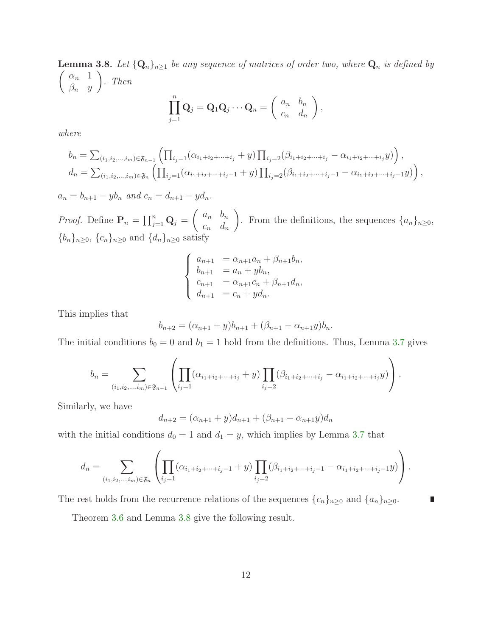<span id="page-11-0"></span>**Lemma 3.8.** Let  $\{Q_n\}_{n\geq 1}$  be any sequence of matrices of order two, where  $Q_n$  is defined by  $\left( \alpha_n \right)$  1  $\beta_n$  y  $\bigg)$ . Then  $\prod^n$  $\mathbf{Q}_{j} = \mathbf{Q}_{1}\mathbf{Q}_{j}\cdots\mathbf{Q}_{n} = \left( \begin{array}{cc} a_{n} & b_{n} \ c_{n} & d_{n} \end{array} \right)$  $c_n$   $d_n$  $\setminus$ ,

where

$$
b_n = \sum_{(i_1, i_2, \dots, i_m) \in \mathfrak{F}_{n-1}} \left( \prod_{i_j=1} (\alpha_{i_1+i_2+\dots+i_j} + y) \prod_{i_j=2} (\beta_{i_1+i_2+\dots+i_j} - \alpha_{i_1+i_2+\dots+i_j} y) \right),
$$
  

$$
d_n = \sum_{(i_1, i_2, \dots, i_m) \in \mathfrak{F}_n} \left( \prod_{i_j=1} (\alpha_{i_1+i_2+\dots+i_j-1} + y) \prod_{i_j=2} (\beta_{i_1+i_2+\dots+i_j-1} - \alpha_{i_1+i_2+\dots+i_j-1} y) \right),
$$

 $a_n = b_{n+1} - y b_n$  and  $c_n = d_{n+1} - y d_n$ .

 $j=1$ 

*Proof.* Define  $P_n = \prod_{j=1}^n Q_j = \begin{pmatrix} a_n & b_n \\ c & d \end{pmatrix}$  $c_n$   $d_n$  $\setminus$ . From the definitions, the sequences  $\{a_n\}_{n\geq 0}$ ,  $\{b_n\}_{n\geq 0}$ ,  $\{c_n\}_{n\geq 0}$  and  $\{d_n\}_{n\geq 0}$  satisfy

$$
\begin{cases}\n a_{n+1} = \alpha_{n+1}a_n + \beta_{n+1}b_n, \\
 b_{n+1} = a_n + yb_n, \\
 c_{n+1} = \alpha_{n+1}c_n + \beta_{n+1}d_n, \\
 d_{n+1} = c_n + yd_n.\n\end{cases}
$$

This implies that

$$
b_{n+2} = (\alpha_{n+1} + y)b_{n+1} + (\beta_{n+1} - \alpha_{n+1}y)b_n.
$$

The initial conditions  $b_0 = 0$  and  $b_1 = 1$  hold from the definitions. Thus, Lemma [3.7](#page-10-0) gives

$$
b_n = \sum_{(i_1, i_2, \dots, i_m) \in \mathfrak{F}_{n-1}} \left( \prod_{i_j=1} ( \alpha_{i_1+i_2+\dots+i_j} + y) \prod_{i_j=2} (\beta_{i_1+i_2+\dots+i_j} - \alpha_{i_1+i_2+\dots+i_j} y) \right).
$$

Similarly, we have

$$
d_{n+2} = (\alpha_{n+1} + y)d_{n+1} + (\beta_{n+1} - \alpha_{n+1}y)d_n
$$

with the initial conditions  $d_0 = 1$  and  $d_1 = y$ , which implies by Lemma [3.7](#page-10-0) that

$$
d_n = \sum_{(i_1, i_2, \dots, i_m) \in \mathfrak{F}_n} \left( \prod_{i_j=1} ( \alpha_{i_1+i_2+\dots+i_j-1} + y) \prod_{i_j=2} (\beta_{i_1+i_2+\dots+i_j-1} - \alpha_{i_1+i_2+\dots+i_j-1} y) \right).
$$

The rest holds from the recurrence relations of the sequences  $\{c_n\}_{n\geq 0}$  and  $\{a_n\}_{n\geq 0}$ .

Theorem [3.6](#page-10-1) and Lemma [3.8](#page-11-0) give the following result.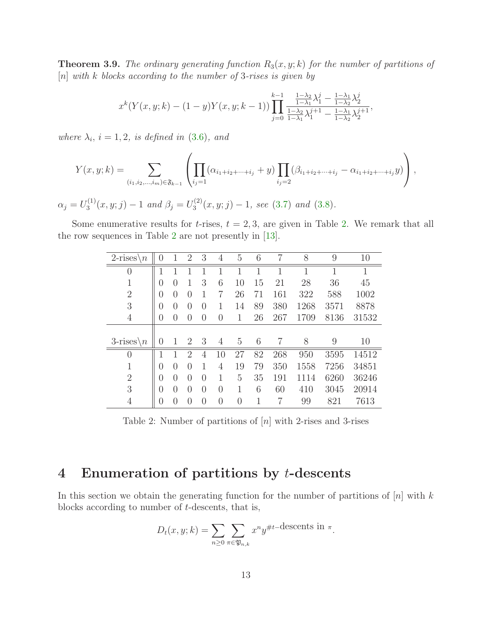**Theorem 3.9.** The ordinary generating function  $R_3(x, y; k)$  for the number of partitions of  $[n]$  with k blocks according to the number of 3-rises is given by

$$
x^{k}(Y(x,y;k)-(1-y)Y(x,y;k-1))\prod_{j=0}^{k-1}\frac{\frac{1-\lambda_{2}}{1-\lambda_{1}}\lambda_{1}^{j}-\frac{1-\lambda_{1}}{1-\lambda_{2}}\lambda_{2}^{j}}{\frac{1-\lambda_{2}}{1-\lambda_{1}}\lambda_{1}^{j+1}-\frac{1-\lambda_{1}}{1-\lambda_{2}}\lambda_{2}^{j+1}},
$$

where  $\lambda_i$ ,  $i = 1, 2$ , is defined in [\(3.6\)](#page-9-0), and

$$
Y(x,y;k) = \sum_{(i_1,i_2,\dots,i_m)\in\mathfrak{F}_{k-1}} \left( \prod_{i_j=1} ( \alpha_{i_1+i_2+\dots+i_j} + y) \prod_{i_j=2} (\beta_{i_1+i_2+\dots+i_j} - \alpha_{i_1+i_2+\dots+i_j} y) \right),
$$

 $\alpha_j=U_3^{(1)}$  $J_3^{(1)}(x,y;j)-1$  and  $\beta_j=U_3^{(2)}$  $3^{(2)}(x,y;j)-1$ , see [\(3.7\)](#page-9-1) and [\(3.8\)](#page-10-2).

Some enumerative results for *t*-rises,  $t = 2, 3$ , are given in Table [2.](#page-12-0) We remark that all the row sequences in Table [2](#page-12-0) are not presently in [\[13\]](#page-16-4).

| $2\text{-rises}$<br>$\sqrt{n}$ | $\left( \right)$ |                  | 2                | 3                | 4        | 5              | 6  | 7   | 8    | 9    | 10    |
|--------------------------------|------------------|------------------|------------------|------------------|----------|----------------|----|-----|------|------|-------|
| $\overline{0}$                 | 1                |                  |                  |                  |          |                | 1  | 1   | 1    |      | 1     |
| $\mathbf{1}$                   | 0                | $\left( \right)$ |                  | 3                | 6        | 10             | 15 | 21  | 28   | 36   | 45    |
| $\overline{2}$                 | 0                | $\left( \right)$ | $\left( \right)$ | 1                | 7        | 26             | 71 | 161 | 322  | 588  | 1002  |
| 3                              | $\left( \right)$ | $\left( \right)$ | $\left( \right)$ | $\left( \right)$ | 1        | 14             | 89 | 380 | 1268 | 3571 | 8878  |
| $\overline{4}$                 | 0                | $\left( \right)$ | $\left( \right)$ | $\theta$         | 0        | 1              | 26 | 267 | 1709 | 8136 | 31532 |
|                                |                  |                  |                  |                  |          |                |    |     |      |      |       |
|                                |                  |                  |                  |                  |          |                |    |     |      |      |       |
| $3\text{-rises}\n\backslash n$ | $\left( \right)$ |                  | $\overline{2}$   | 3                | 4        | 5              | 6  | 7   | 8    | 9    | 10    |
| $\overline{0}$                 | 1                | 1                | $\mathcal{D}$    | 4                | 10       | 27             | 82 | 268 | 950  | 3595 | 14512 |
| 1                              | 0                | $\left( \right)$ | 0                | 1                | 4        | 19             | 79 | 350 | 1558 | 7256 | 34851 |
| $\overline{2}$                 | 0                | $\Omega$         | $\Omega$         | $\Omega$         | 1        | $\overline{5}$ | 35 | 191 | 1114 | 6260 | 36246 |
| 3                              | $\theta$         | $\left($         | $\Omega$         | $\theta$         | $\theta$ | 1              | 6  | 60  | 410  | 3045 | 20914 |

<span id="page-12-0"></span>Table 2: Number of partitions of [n] with 2-rises and 3-rises

# 4 Enumeration of partitions by t-descents

In this section we obtain the generating function for the number of partitions of  $[n]$  with k blocks according to number of t-descents, that is,

$$
D_t(x, y; k) = \sum_{n \ge 0} \sum_{\pi \in \mathfrak{P}_{n,k}} x^n y^{\# t-\text{descents in }\pi}.
$$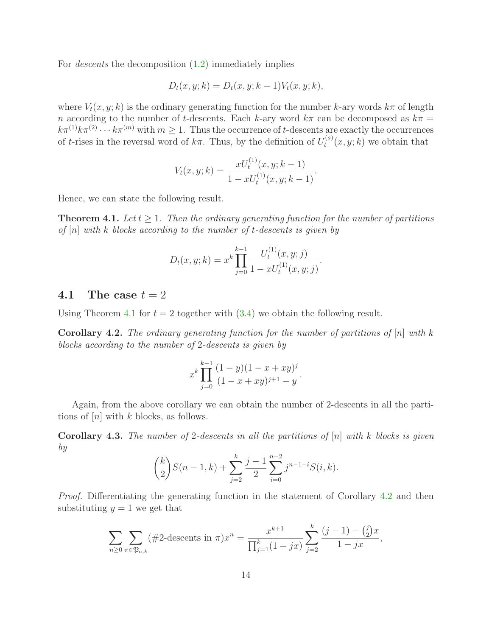For descents the decomposition [\(1.2\)](#page-2-2) immediately implies

$$
D_t(x, y; k) = D_t(x, y; k - 1) V_t(x, y; k),
$$

where  $V_t(x, y; k)$  is the ordinary generating function for the number k-ary words  $k\pi$  of length n according to the number of t-descents. Each k-ary word  $k\pi$  can be decomposed as  $k\pi$  =  $k\pi^{(1)}k\pi^{(2)}\cdots k\pi^{(m)}$  with  $m\geq 1$ . Thus the occurrence of t-descents are exactly the occurrences of t-rises in the reversal word of  $k\pi$ . Thus, by the definition of  $U_t^{(s)}$  $t^{(s)}(x, y; k)$  we obtain that

$$
V_t(x, y; k) = \frac{xU_t^{(1)}(x, y; k-1)}{1 - xU_t^{(1)}(x, y; k-1)}.
$$

<span id="page-13-0"></span>Hence, we can state the following result.

**Theorem 4.1.** Let  $t \geq 1$ . Then the ordinary generating function for the number of partitions of  $[n]$  with k blocks according to the number of t-descents is given by

$$
D_t(x, y; k) = x^k \prod_{j=0}^{k-1} \frac{U_t^{(1)}(x, y; j)}{1 - xU_t^{(1)}(x, y; j)}.
$$

#### 4.1 The case  $t = 2$

<span id="page-13-1"></span>Using Theorem [4.1](#page-13-0) for  $t = 2$  together with  $(3.4)$  we obtain the following result.

**Corollary 4.2.** The ordinary generating function for the number of partitions of  $[n]$  with k blocks according to the number of 2-descents is given by

$$
x^{k}\prod_{j=0}^{k-1}\frac{(1-y)(1-x+xy)^j}{(1-x+xy)^{j+1}-y}.
$$

<span id="page-13-2"></span>Again, from the above corollary we can obtain the number of 2-descents in all the partitions of  $[n]$  with k blocks, as follows.

**Corollary 4.3.** The number of 2-descents in all the partitions of  $[n]$  with k blocks is given by

$$
\binom{k}{2}S(n-1,k) + \sum_{j=2}^{k} \frac{j-1}{2} \sum_{i=0}^{n-2} j^{n-1-i} S(i,k).
$$

Proof. Differentiating the generating function in the statement of Corollary [4.2](#page-13-1) and then substituting  $y = 1$  we get that

$$
\sum_{n\geq 0} \sum_{\pi \in \mathfrak{P}_{n,k}} (\#2 \text{-descents in } \pi) x^n = \frac{x^{k+1}}{\prod_{j=1}^k (1-jx)} \sum_{j=2}^k \frac{(j-1) - {j \choose 2} x}{1-jx},
$$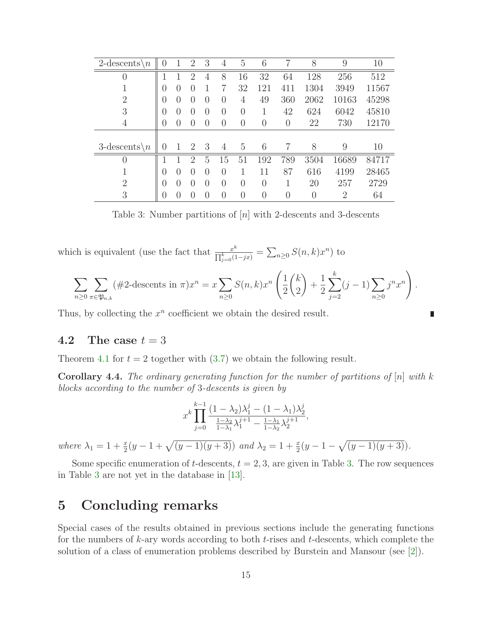| $2$ -descents $\n\setminus n$ | $\left( \right)$ |                  | $\overline{2}$   | 3                | 4                | 5                | 6        | 7              | 8    | 9     | 10    |
|-------------------------------|------------------|------------------|------------------|------------------|------------------|------------------|----------|----------------|------|-------|-------|
| $\theta$                      | 1                |                  | $\mathcal{D}$    | 4                | 8                | 16               | 32       | 64             | 128  | 256   | 512   |
|                               | $\left( \right)$ |                  | $\left( \right)$ | 1                | 7                | 32               | 121      | 411            | 1304 | 3949  | 11567 |
| $\overline{2}$                | 0                | $\left( \right)$ | $\left( \right)$ | $\left( \right)$ | $\left( \right)$ | 4                | 49       | 360            | 2062 | 10163 | 45298 |
| 3                             | 0                | $\left( \right)$ | $\left( \right)$ | $\left( \right)$ | $\overline{0}$   | 0                |          | 42             | 624  | 6042  | 45810 |
| 4                             | 0                |                  | $\left( \right)$ | $\left( \right)$ | $\left( \right)$ | $\left( \right)$ | 0        | $\overline{0}$ | 22   | 730   | 12170 |
|                               |                  |                  |                  |                  |                  |                  |          |                |      |       |       |
| $3$ -descents $\setminus n$   | 0                |                  | $\overline{2}$   | 3                | 4                | 5                | 6        |                | 8    | 9     | 10    |
| $\theta$                      |                  |                  | $\mathcal{D}$    | 5                | 15               | 51               | 192      | 789            | 3504 | 16689 | 84717 |
|                               | 0                |                  | $\left( \right)$ | $\Omega$         | $\left( \right)$ |                  | 11       | 87             | 616  | 4199  | 28465 |
| $\overline{2}$                | 0                |                  | $\left( \right)$ | $\Omega$         | $\left( \right)$ | 0                | $\theta$ |                | 20   | 257   | 2729  |
| 3                             | 0                |                  | $\left( \right)$ | $\Omega$         | $\left( \right)$ | 0                | $\theta$ | $\theta$       | 0    | 2     | 64    |

<span id="page-14-0"></span>Table 3: Number partitions of  $[n]$  with 2-descents and 3-descents

which is equivalent (use the fact that  $\frac{x^k}{\prod_{k=1}^k x^k}$  $\frac{x^k}{\prod_{j=0}^k (1-jx)} = \sum_{n\geq 0} S(n,k)x^n$  to

$$
\sum_{n\geq 0} \sum_{\pi \in \mathfrak{P}_{n,k}} (\#2 \text{-descents in } \pi) x^n = x \sum_{n\geq 0} S(n,k) x^n \left( \frac{1}{2} {k \choose 2} + \frac{1}{2} \sum_{j=2}^k (j-1) \sum_{n\geq 0} j^n x^n \right).
$$

г

Thus, by collecting the  $x^n$  coefficient we obtain the desired result.

#### 4.2 The case  $t = 3$

Theorem [4.1](#page-13-0) for  $t = 2$  together with  $(3.7)$  we obtain the following result.

**Corollary 4.4.** The ordinary generating function for the number of partitions of  $[n]$  with k blocks according to the number of 3-descents is given by

$$
x^{k} \prod_{j=0}^{k-1} \frac{(1 - \lambda_2)\lambda_1^{j} - (1 - \lambda_1)\lambda_2^{j}}{\frac{1 - \lambda_2}{1 - \lambda_1}\lambda_1^{j+1} - \frac{1 - \lambda_1}{1 - \lambda_2}\lambda_2^{j+1}},
$$

where  $\lambda_1 = 1 + \frac{x}{2}(y - 1 + \sqrt{(y - 1)(y + 3)})$  and  $\lambda_2 = 1 + \frac{x}{2}(y - 1 - \sqrt{(y - 1)(y + 3)})$ .

Some specific enumeration of t-descents,  $t = 2, 3$ , are given in Table [3.](#page-14-0) The row sequences in Table [3](#page-14-0) are not yet in the database in [\[13\]](#page-16-4).

# 5 Concluding remarks

Special cases of the results obtained in previous sections include the generating functions for the numbers of  $k$ -ary words according to both  $t$ -rises and  $t$ -descents, which complete the solution of a class of enumeration problems described by Burstein and Mansour (see [\[2\]](#page-15-4)).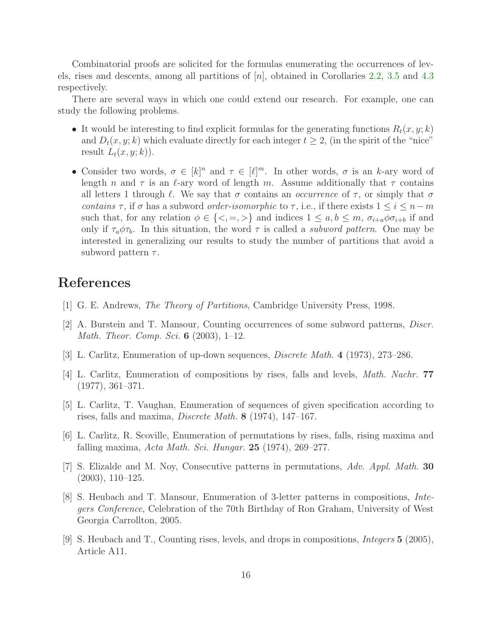Combinatorial proofs are solicited for the formulas enumerating the occurrences of levels, rises and descents, among all partitions of  $[n]$ , obtained in Corollaries [2.2,](#page-3-0) [3.5](#page-8-3) and [4.3](#page-13-2) respectively.

There are several ways in which one could extend our research. For example, one can study the following problems.

- It would be interesting to find explicit formulas for the generating functions  $R_t(x, y; k)$ and  $D_t(x, y; k)$  which evaluate directly for each integer  $t \geq 2$ , (in the spirit of the "nice" result  $L_t(x, y; k)$ .
- Consider two words,  $\sigma \in [k]^n$  and  $\tau \in [\ell]^m$ . In other words,  $\sigma$  is an k-ary word of length n and  $\tau$  is an  $\ell$ -ary word of length m. Assume additionally that  $\tau$  contains all letters 1 through  $\ell$ . We say that  $\sigma$  contains an *occurrence* of  $\tau$ , or simply that  $\sigma$ contains  $\tau$ , if  $\sigma$  has a subword *order-isomorphic* to  $\tau$ , i.e., if there exists  $1 \leq i \leq n-m$ such that, for any relation  $\phi \in \{<, =, >\}$  and indices  $1 \leq a, b \leq m, \sigma_{i+a}\phi\sigma_{i+b}$  if and only if  $\tau_a \phi \tau_b$ . In this situation, the word  $\tau$  is called a *subword pattern*. One may be interested in generalizing our results to study the number of partitions that avoid a subword pattern  $\tau$ .

# References

- <span id="page-15-4"></span>[1] G. E. Andrews, The Theory of Partitions, Cambridge University Press, 1998.
- [2] A. Burstein and T. Mansour, Counting occurrences of some subword patterns, Discr. Math. Theor. Comp. Sci. 6 (2003), 1–12.
- <span id="page-15-1"></span><span id="page-15-0"></span>[3] L. Carlitz, Enumeration of up-down sequences, Discrete Math. 4 (1973), 273–286.
- <span id="page-15-3"></span>[4] L. Carlitz, Enumeration of compositions by rises, falls and levels, Math. Nachr. 77 (1977), 361–371.
- [5] L. Carlitz, T. Vaughan, Enumeration of sequences of given specification according to rises, falls and maxima, Discrete Math. 8 (1974), 147–167.
- <span id="page-15-2"></span>[6] L. Carlitz, R. Scoville, Enumeration of permutations by rises, falls, rising maxima and falling maxima, Acta Math. Sci. Hungar.  $25$  (1974), 269–277.
- <span id="page-15-7"></span><span id="page-15-6"></span>[7] S. Elizalde and M. Noy, Consecutive patterns in permutations, Adv. Appl. Math. 30 (2003), 110–125.
- [8] S. Heubach and T. Mansour, Enumeration of 3-letter patterns in compositions, Integers Conference, Celebration of the 70th Birthday of Ron Graham, University of West Georgia Carrollton, 2005.
- <span id="page-15-5"></span>[9] S. Heubach and T., Counting rises, levels, and drops in compositions, Integers 5 (2005), Article A11.